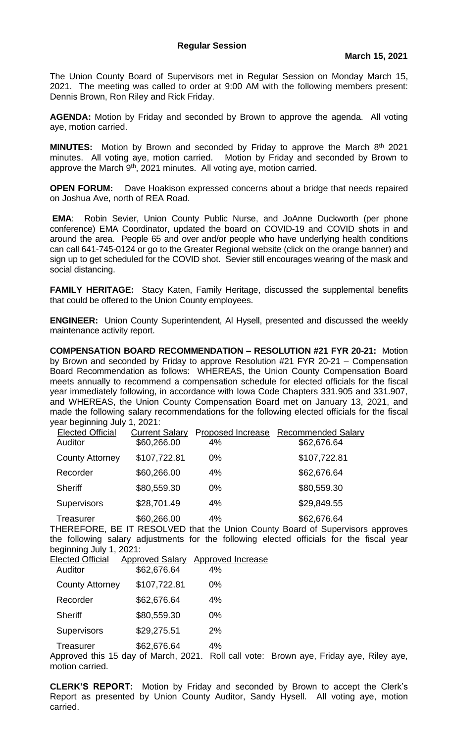The Union County Board of Supervisors met in Regular Session on Monday March 15, 2021. The meeting was called to order at 9:00 AM with the following members present: Dennis Brown, Ron Riley and Rick Friday.

**AGENDA:** Motion by Friday and seconded by Brown to approve the agenda. All voting aye, motion carried.

**MINUTES:** Motion by Brown and seconded by Friday to approve the March 8<sup>th</sup> 2021 minutes. All voting aye, motion carried. Motion by Friday and seconded by Brown to approve the March 9<sup>th</sup>, 2021 minutes. All voting aye, motion carried.

**OPEN FORUM:** Dave Hoakison expressed concerns about a bridge that needs repaired on Joshua Ave, north of REA Road.

**EMA**: Robin Sevier, Union County Public Nurse, and JoAnne Duckworth (per phone conference) EMA Coordinator, updated the board on COVID-19 and COVID shots in and around the area. People 65 and over and/or people who have underlying health conditions can call 641-745-0124 or go to the Greater Regional website (click on the orange banner) and sign up to get scheduled for the COVID shot. Sevier still encourages wearing of the mask and social distancing.

**FAMILY HERITAGE:** Stacy Katen, Family Heritage, discussed the supplemental benefits that could be offered to the Union County employees.

**ENGINEER:** Union County Superintendent, Al Hysell, presented and discussed the weekly maintenance activity report.

**COMPENSATION BOARD RECOMMENDATION – RESOLUTION #21 FYR 20-21:** Motion by Brown and seconded by Friday to approve Resolution #21 FYR 20-21 – Compensation Board Recommendation as follows: WHEREAS, the Union County Compensation Board meets annually to recommend a compensation schedule for elected officials for the fiscal year immediately following, in accordance with Iowa Code Chapters 331.905 and 331.907, and WHEREAS, the Union County Compensation Board met on January 13, 2021, and made the following salary recommendations for the following elected officials for the fiscal year beginning July 1, 2021:

| <b>Elected Official</b> | <b>Current Salary</b> | Proposed Increase | <b>Recommended Salary</b> |
|-------------------------|-----------------------|-------------------|---------------------------|
| Auditor                 | \$60,266.00           | 4%                | \$62,676.64               |
| <b>County Attorney</b>  | \$107,722.81          | 0%                | \$107,722.81              |
| Recorder                | \$60,266.00           | 4%                | \$62,676.64               |
| <b>Sheriff</b>          | \$80,559.30           | $0\%$             | \$80,559.30               |
| <b>Supervisors</b>      | \$28,701.49           | 4%                | \$29,849.55               |
| Treasurer               | \$60,266.00           | 4%                | \$62,676.64               |

THEREFORE, BE IT RESOLVED that the Union County Board of Supervisors approves the following salary adjustments for the following elected officials for the fiscal year beginning July 1, 2021:

| <b>Elected Official</b> | <b>Approved Salary</b> | <b>Approved Increase</b> |
|-------------------------|------------------------|--------------------------|
| Auditor                 | \$62,676.64            | 4%                       |
| <b>County Attorney</b>  | \$107,722.81           | 0%                       |
| Recorder                | \$62,676.64            | 4%                       |
| <b>Sheriff</b>          | \$80,559.30            | 0%                       |
| Supervisors             | \$29,275.51            | 2%                       |
| Treasurer               | \$62,676.64            | 4%                       |

Approved this 15 day of March, 2021. Roll call vote: Brown aye, Friday aye, Riley aye, motion carried.

**CLERK'S REPORT:** Motion by Friday and seconded by Brown to accept the Clerk's Report as presented by Union County Auditor, Sandy Hysell. All voting aye, motion carried.